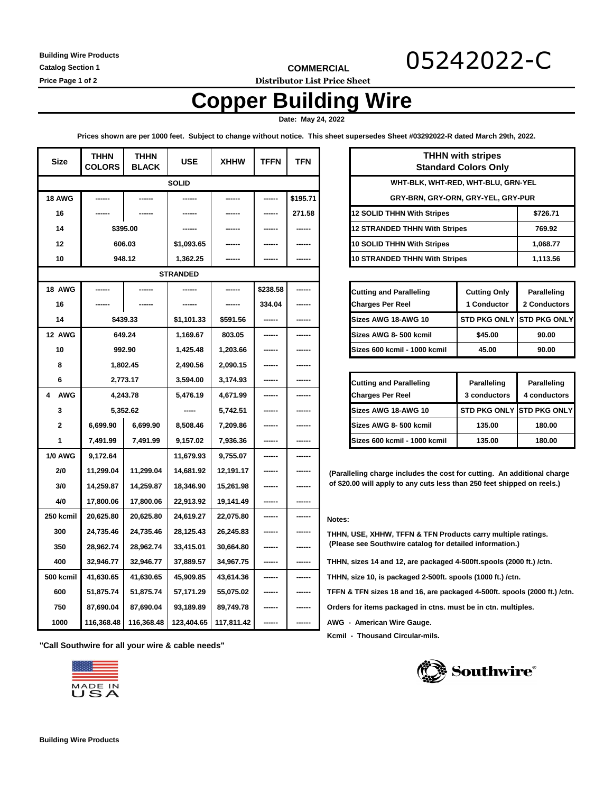**Building Wire Products**

**COMMERCIAL** 05242022-C

**Catalog Section 1**

**Price Page 1 of 2 Distributor List Price Sheet**

# **Copper Building Wire**

 **Date: May 24, 2022** 

**Prices shown are per 1000 feet. Subject to change without notice. This sheet supersedes Sheet #03292022-R dated March 29th, 2022.**

| <b>Size</b>     | <b>THHN</b><br><b>COLORS</b> | <b>THHN</b><br><b>BLACK</b> | <b>USE</b> | <b>XHHW</b> | <b>TFFN</b> | <b>TFN</b> | <b>THHN with stripes</b><br><b>Standard Colors Only</b>                   |                                                                         |                     |                     |
|-----------------|------------------------------|-----------------------------|------------|-------------|-------------|------------|---------------------------------------------------------------------------|-------------------------------------------------------------------------|---------------------|---------------------|
| <b>SOLID</b>    |                              |                             |            |             |             |            | WHT-BLK, WHT-RED, WHT-BLU, GRN-YEL                                        |                                                                         |                     |                     |
| <b>18 AWG</b>   |                              |                             |            |             | ------      | \$195.71   | GRY-BRN, GRY-ORN, GRY-YEL, GRY-PUR                                        |                                                                         |                     |                     |
| 16              |                              |                             |            |             | ------      | 271.58     | 12 SOLID THHN With Stripes                                                |                                                                         | \$726.71            |                     |
| 14              | \$395.00                     |                             |            |             |             |            |                                                                           | <b>12 STRANDED THHN With Stripes</b>                                    |                     | 769.92              |
| 12              | 606.03                       |                             | \$1,093.65 |             | ------      | ------     |                                                                           | 10 SOLID THHN With Stripes                                              |                     | 1,068.77            |
| 10              | 948.12                       |                             | 1,362.25   |             |             |            |                                                                           | <b>10 STRANDED THHN With Stripes</b>                                    |                     | 1,113.56            |
| <b>STRANDED</b> |                              |                             |            |             |             |            |                                                                           |                                                                         |                     |                     |
| 18 AWG          |                              |                             |            | ------      | \$238.58    |            |                                                                           | <b>Cutting and Paralleling</b>                                          | <b>Cutting Only</b> | Paralleling         |
| 16              |                              |                             |            | ------      | 334.04      | ------     |                                                                           | <b>Charges Per Reel</b>                                                 | 1 Conductor         | 2 Conductors        |
| 14              | \$439.33                     |                             | \$1,101.33 | \$591.56    |             |            |                                                                           | Sizes AWG 18-AWG 10                                                     | <b>STD PKG ONLY</b> | <b>STD PKG ONLY</b> |
| 12 AWG          | 649.24                       |                             | 1,169.67   | 803.05      | ------      | ------     |                                                                           | Sizes AWG 8-500 kcmil                                                   | \$45.00             | 90.00               |
| 10              | 992.90                       |                             | 1,425.48   | 1,203.66    | ------      | ------     |                                                                           | Sizes 600 kcmil - 1000 kcmil                                            | 45.00               | 90.00               |
| 8               | 1,802.45                     |                             | 2,490.56   | 2,090.15    | ------      |            |                                                                           |                                                                         |                     |                     |
| 6               | 2,773.17                     |                             | 3,594.00   | 3,174.93    | ------      | ------     |                                                                           | <b>Cutting and Paralleling</b>                                          | Paralleling         | Paralleling         |
| 4<br><b>AWG</b> | 4,243.78                     |                             | 5,476.19   | 4,671.99    | ------      | ------     |                                                                           | <b>Charges Per Reel</b>                                                 | 3 conductors        | 4 conductors        |
| 3               | 5,352.62                     |                             |            | 5,742.51    | ------      | ------     |                                                                           | Sizes AWG 18-AWG 10                                                     | <b>STD PKG ONLY</b> | <b>STD PKG ONLY</b> |
| $\mathbf{2}$    | 6,699.90                     | 6,699.90                    | 8,508.46   | 7,209.86    | ------      |            |                                                                           | Sizes AWG 8-500 kcmil                                                   | 135.00              | 180.00              |
| 1               | 7,491.99                     | 7,491.99                    | 9,157.02   | 7,936.36    | ------      | ------     |                                                                           | Sizes 600 kcmil - 1000 kcmil                                            | 135.00              | 180.00              |
| <b>1/0 AWG</b>  | 9,172.64                     |                             | 11,679.93  | 9,755.07    | ------      | ------     |                                                                           |                                                                         |                     |                     |
| 2/0             | 11,299.04                    | 11,299.04                   | 14,681.92  | 12,191.17   | ------      |            |                                                                           | (Paralleling charge includes the cost for cutting. An additional charge |                     |                     |
| 3/0             | 14.259.87                    | 14,259.87                   | 18,346.90  | 15,261.98   | ------      | ------     | of \$20.00 will apply to any cuts less than 250 feet shipped on reels.)   |                                                                         |                     |                     |
| 4/0             | 17,800.06                    | 17,800.06                   | 22,913.92  | 19,141.49   | ------      | ------     |                                                                           |                                                                         |                     |                     |
| 250 kcmil       | 20,625.80                    | 20,625.80                   | 24,619.27  | 22,075.80   | ------      | ------     | Notes:                                                                    |                                                                         |                     |                     |
| 300             | 24,735.46                    | 24,735.46                   | 28,125.43  | 26,245.83   | ------      |            |                                                                           | THHN, USE, XHHW, TFFN & TFN Products carry multiple ratings.            |                     |                     |
| 350             | 28,962.74                    | 28,962.74                   | 33,415.01  | 30,664.80   | ------      | ------     |                                                                           | (Please see Southwire catalog for detailed information.)                |                     |                     |
| 400             | 32,946.77                    | 32,946.77                   | 37,889.57  | 34,967.75   | ------      | ------     |                                                                           | THHN, sizes 14 and 12, are packaged 4-500ft.spools (2000 ft.) /ctn.     |                     |                     |
| 500 kcmil       | 41,630.65                    | 41,630.65                   | 45,909.85  | 43,614.36   | ------      | ------     | THHN, size 10, is packaged 2-500ft. spools (1000 ft.) /ctn.               |                                                                         |                     |                     |
| 600             | 51,875.74                    | 51,875.74                   | 57,171.29  | 55,075.02   | ------      | ------     | TFFN & TFN sizes 18 and 16, are packaged 4-500ft. spools (2000 ft.) /ctn. |                                                                         |                     |                     |
| 750             | 87,690.04                    | 87,690.04                   | 93,189.89  | 89,749.78   | ------      | ------     | Orders for items packaged in ctns. must be in ctn. multiples.             |                                                                         |                     |                     |
| 1000            | 116,368.48                   | 116,368.48                  | 123,404.65 | 117,811.42  | ------      | ------     | AWG - American Wire Gauge.                                                |                                                                         |                     |                     |

| <b>THHN with stripes</b><br><b>Standard Colors Only</b> |          |  |  |
|---------------------------------------------------------|----------|--|--|
| WHT-BLK, WHT-RED, WHT-BLU, GRN-YEL                      |          |  |  |
| GRY-BRN, GRY-ORN, GRY-YEL, GRY-PUR                      |          |  |  |
| 12 SOLID THHN With Stripes                              | \$726.71 |  |  |
| <b>12 STRANDED THHN With Stripes</b>                    | 769.92   |  |  |
| 10 SOLID THHN With Stripes                              | 1,068.77 |  |  |
| 10 STRANDED THHN With Stripes                           | 1,113.56 |  |  |

| <b>Cutting and Paralleling</b> | <b>Cutting Only</b>       | Paralleling  |
|--------------------------------|---------------------------|--------------|
| <b>Charges Per Reel</b>        | 1 Conductor               | 2 Conductors |
| Sizes AWG 18-AWG 10            | STD PKG ONLY STD PKG ONLY |              |
| Sizes AWG 8-500 kcmil          | \$45.00                   | 90.00        |
| Sizes 600 kcmil - 1000 kcmil   | 45.00                     | 90.00        |

| <b>Cutting and Paralleling</b><br><b>Charges Per Reel</b> | Paralleling<br>3 conductors | Paralleling<br>4 conductors       |
|-----------------------------------------------------------|-----------------------------|-----------------------------------|
| Sizes AWG 18-AWG 10                                       |                             | <b>STD PKG ONLY ISTD PKG ONLY</b> |
| Sizes AWG 8- 500 kcmil                                    | 135.00                      | 180.00                            |
| Sizes 600 kcmil - 1000 kcmil                              | 135.00                      | 180.00                            |

 **Kcmil - Thousand Circular-mils.**